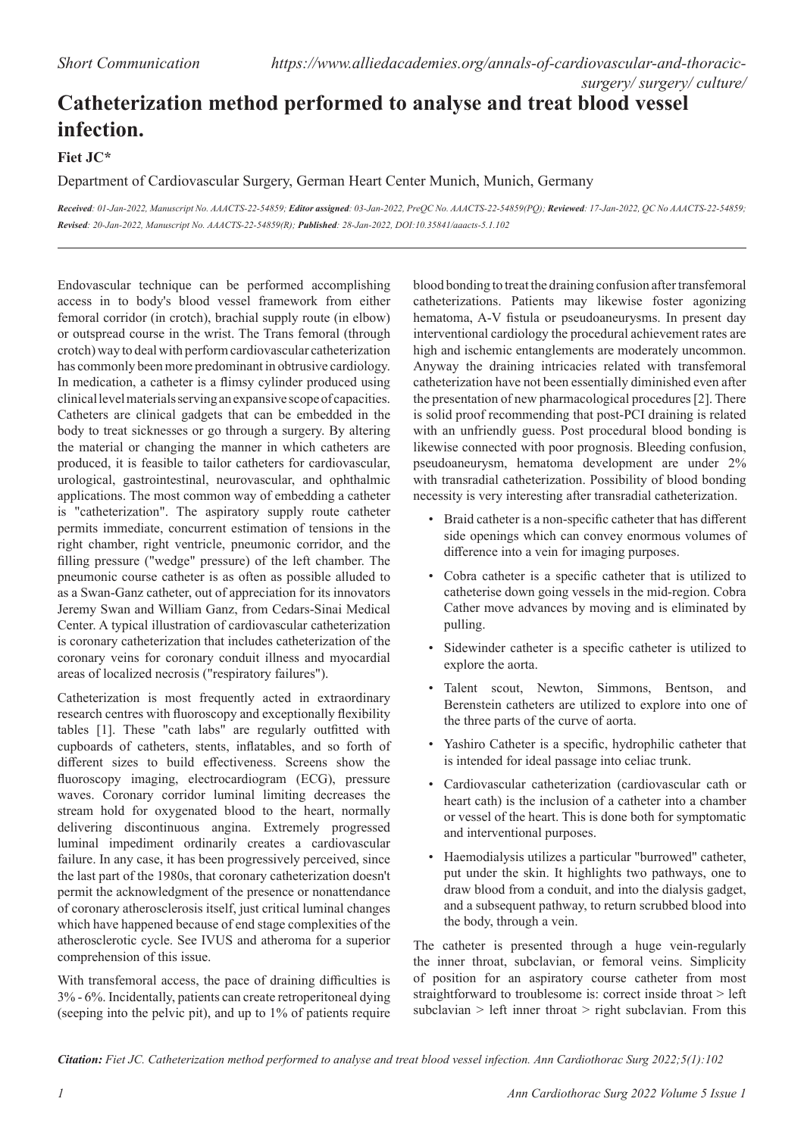## **Catheterization method performed to analyse and treat blood vessel infection.**

**Fiet JC\***

## Department of Cardiovascular Surgery, German Heart Center Munich, Munich, Germany

*Received: 01-Jan-2022, Manuscript No. AAACTS-22-54859; Editor assigned: 03-Jan-2022, PreQC No. AAACTS-22-54859(PQ); Reviewed: 17-Jan-2022, QC No AAACTS-22-54859; Revised: 20-Jan-2022, Manuscript No. AAACTS-22-54859(R); Published: 28-Jan-2022, DOI:10.35841/aaacts-5.1.102*

Endovascular technique can be performed accomplishing access in to body's blood vessel framework from either femoral corridor (in crotch), brachial supply route (in elbow) or outspread course in the wrist. The Trans femoral (through crotch) way to deal with perform cardiovascular catheterization has commonly been more predominant in obtrusive cardiology. In medication, a catheter is a flimsy cylinder produced using clinical level materials serving an expansive scope of capacities. Catheters are clinical gadgets that can be embedded in the body to treat sicknesses or go through a surgery. By altering the material or changing the manner in which catheters are produced, it is feasible to tailor catheters for cardiovascular, urological, gastrointestinal, neurovascular, and ophthalmic applications. The most common way of embedding a catheter is "catheterization". The aspiratory supply route catheter permits immediate, concurrent estimation of tensions in the right chamber, right ventricle, pneumonic corridor, and the filling pressure ("wedge" pressure) of the left chamber. The pneumonic course catheter is as often as possible alluded to as a Swan-Ganz catheter, out of appreciation for its innovators Jeremy Swan and William Ganz, from Cedars-Sinai Medical Center. A typical illustration of cardiovascular catheterization is coronary catheterization that includes catheterization of the coronary veins for coronary conduit illness and myocardial areas of localized necrosis ("respiratory failures").

Catheterization is most frequently acted in extraordinary research centres with fluoroscopy and exceptionally flexibility tables [1]. These "cath labs" are regularly outfitted with cupboards of catheters, stents, inflatables, and so forth of different sizes to build effectiveness. Screens show the fluoroscopy imaging, electrocardiogram (ECG), pressure waves. Coronary corridor luminal limiting decreases the stream hold for oxygenated blood to the heart, normally delivering discontinuous angina. Extremely progressed luminal impediment ordinarily creates a cardiovascular failure. In any case, it has been progressively perceived, since the last part of the 1980s, that coronary catheterization doesn't permit the acknowledgment of the presence or nonattendance of coronary atherosclerosis itself, just critical luminal changes which have happened because of end stage complexities of the atherosclerotic cycle. See IVUS and atheroma for a superior comprehension of this issue.

With transfemoral access, the pace of draining difficulties is 3% - 6%. Incidentally, patients can create retroperitoneal dying (seeping into the pelvic pit), and up to 1% of patients require blood bonding to treat the draining confusion after transfemoral catheterizations. Patients may likewise foster agonizing hematoma, A-V fistula or pseudoaneurysms. In present day interventional cardiology the procedural achievement rates are high and ischemic entanglements are moderately uncommon. Anyway the draining intricacies related with transfemoral catheterization have not been essentially diminished even after the presentation of new pharmacological procedures [2]. There is solid proof recommending that post-PCI draining is related with an unfriendly guess. Post procedural blood bonding is likewise connected with poor prognosis. Bleeding confusion, pseudoaneurysm, hematoma development are under 2% with transradial catheterization. Possibility of blood bonding necessity is very interesting after transradial catheterization.

- Braid catheter is a non-specific catheter that has different side openings which can convey enormous volumes of difference into a vein for imaging purposes.
- Cobra catheter is a specific catheter that is utilized to catheterise down going vessels in the mid-region. Cobra Cather move advances by moving and is eliminated by pulling.
- Sidewinder catheter is a specific catheter is utilized to explore the aorta.
- Talent scout, Newton, Simmons, Bentson, and Berenstein catheters are utilized to explore into one of the three parts of the curve of aorta.
- Yashiro Catheter is a specific, hydrophilic catheter that is intended for ideal passage into celiac trunk.
- Cardiovascular catheterization (cardiovascular cath or heart cath) is the inclusion of a catheter into a chamber or vessel of the heart. This is done both for symptomatic and interventional purposes.
- Haemodialysis utilizes a particular "burrowed" catheter, put under the skin. It highlights two pathways, one to draw blood from a conduit, and into the dialysis gadget, and a subsequent pathway, to return scrubbed blood into the body, through a vein.

The catheter is presented through a huge vein-regularly the inner throat, subclavian, or femoral veins. Simplicity of position for an aspiratory course catheter from most straightforward to troublesome is: correct inside throat > left subclavian > left inner throat > right subclavian. From this

*Citation: Fiet JC. Catheterization method performed to analyse and treat blood vessel infection. Ann Cardiothorac Surg 2022;5(1):102*